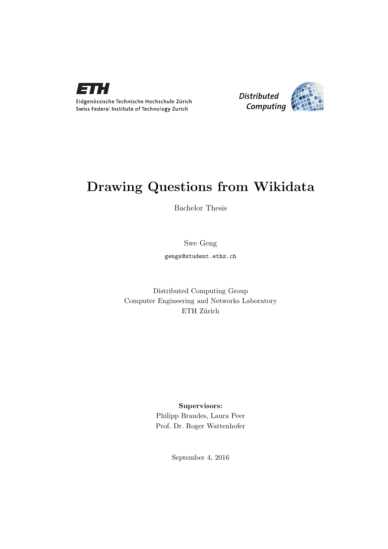



## Drawing Questions from Wikidata

Bachelor Thesis

Swe Geng

gengs@student.ethz.ch

Distributed Computing Group Computer Engineering and Networks Laboratory ETH Zürich

### Supervisors:

Philipp Brandes, Laura Peer Prof. Dr. Roger Wattenhofer

September 4, 2016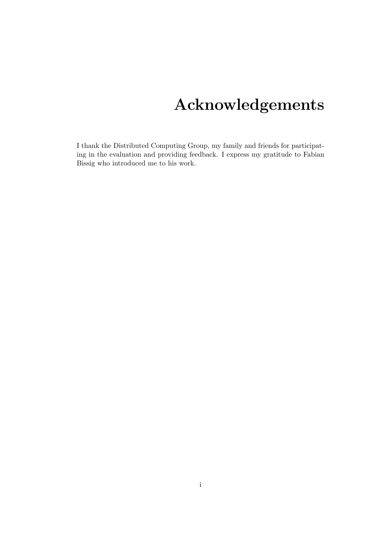# Acknowledgements

<span id="page-1-0"></span>I thank the Distributed Computing Group, my family and friends for participating in the evaluation and providing feedback. I express my gratitude to Fabian Bissig who introduced me to his work.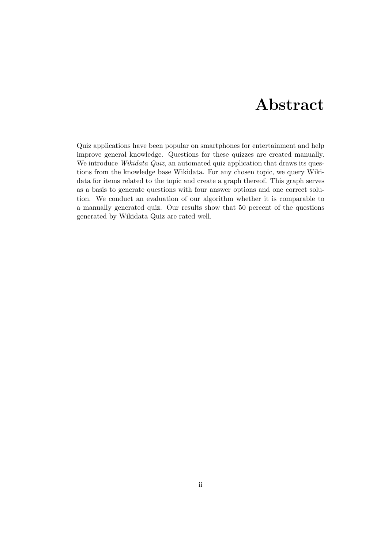## Abstract

<span id="page-2-0"></span>Quiz applications have been popular on smartphones for entertainment and help improve general knowledge. Questions for these quizzes are created manually. We introduce Wikidata Quiz, an automated quiz application that draws its questions from the knowledge base Wikidata. For any chosen topic, we query Wikidata for items related to the topic and create a graph thereof. This graph serves as a basis to generate questions with four answer options and one correct solution. We conduct an evaluation of our algorithm whether it is comparable to a manually generated quiz. Our results show that 50 percent of the questions generated by Wikidata Quiz are rated well.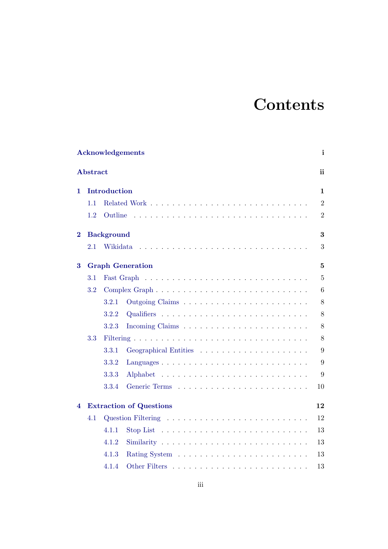# **Contents**

|          |                         |                   | <b>Acknowledgements</b>                                                 | $\mathbf{i}$     |  |
|----------|-------------------------|-------------------|-------------------------------------------------------------------------|------------------|--|
|          | <b>Abstract</b>         |                   |                                                                         | ii               |  |
| 1        |                         | Introduction      |                                                                         | $\mathbf{1}$     |  |
|          | 1.1                     |                   |                                                                         | $\overline{2}$   |  |
|          | 1.2                     | Outline           |                                                                         | $\boldsymbol{2}$ |  |
| $\bf{2}$ |                         | <b>Background</b> |                                                                         | 3                |  |
|          | 2.1                     | Wikidata          |                                                                         | 3                |  |
| 3        | <b>Graph Generation</b> |                   |                                                                         |                  |  |
|          | 3.1                     |                   |                                                                         | $\overline{5}$   |  |
|          | 3.2                     |                   |                                                                         | 6                |  |
|          |                         | 3.2.1             |                                                                         | 8                |  |
|          |                         | 3.2.2             |                                                                         | 8                |  |
|          |                         | 3.2.3             |                                                                         | $8\,$            |  |
|          | 3.3                     |                   |                                                                         | 8                |  |
|          |                         | 3.3.1             |                                                                         | 9                |  |
|          |                         | 3.3.2             | Languages                                                               | 9                |  |
|          |                         | 3.3.3             |                                                                         | 9                |  |
|          |                         | 3.3.4             |                                                                         | 10               |  |
| 4        |                         |                   | <b>Extraction of Questions</b>                                          | 12               |  |
|          | 4.1                     |                   |                                                                         | 12               |  |
|          |                         | 4.1.1             | Stop List $\dots \dots \dots \dots \dots \dots \dots \dots \dots \dots$ | 13               |  |
|          |                         | 4.1.2             |                                                                         | 13               |  |
|          |                         | 4.1.3             |                                                                         | 13               |  |
|          |                         | 4.1.4             |                                                                         | 13               |  |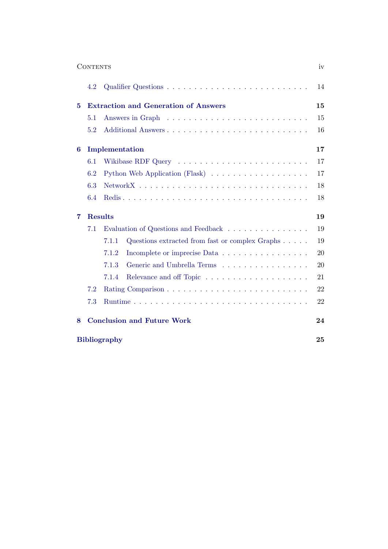|                     | <b>CONTENTS</b>                             |                                                                    | iv |  |
|---------------------|---------------------------------------------|--------------------------------------------------------------------|----|--|
|                     | 4.2                                         |                                                                    | 14 |  |
| 5                   | <b>Extraction and Generation of Answers</b> |                                                                    |    |  |
|                     | 5.1                                         |                                                                    | 15 |  |
|                     | 5.2                                         | Additional Answers                                                 | 16 |  |
| 6                   |                                             | Implementation                                                     | 17 |  |
|                     | 6.1                                         |                                                                    | 17 |  |
|                     | 6.2                                         | Python Web Application (Flask)                                     | 17 |  |
|                     | 6.3                                         |                                                                    | 18 |  |
|                     | 6.4                                         |                                                                    | 18 |  |
| 7                   | <b>Results</b>                              |                                                                    |    |  |
|                     | 7.1                                         | Evaluation of Questions and Feedback<br>19                         |    |  |
|                     |                                             | 7.1.1<br>Questions extracted from fast or complex Graphs $\dots$ . | 19 |  |
|                     |                                             | 7.1.2<br>Incomplete or imprecise Data                              | 20 |  |
|                     |                                             | 7.1.3<br>Generic and Umbrella Terms                                | 20 |  |
|                     |                                             | 7.1.4                                                              | 21 |  |
|                     | 7.2<br>Rating Comparison                    |                                                                    |    |  |
|                     | 7.3                                         |                                                                    | 22 |  |
| 8                   |                                             | <b>Conclusion and Future Work</b>                                  | 24 |  |
| <b>Bibliography</b> |                                             |                                                                    | 25 |  |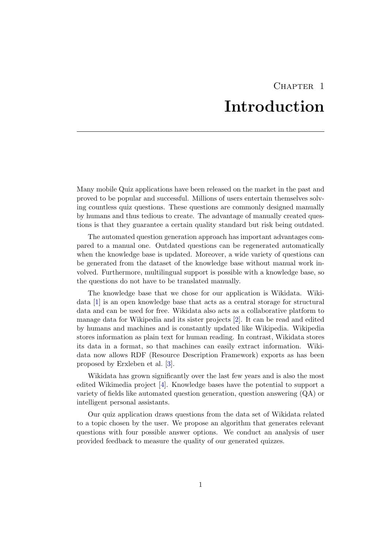## CHAPTER<sub>1</sub> Introduction

<span id="page-5-0"></span>Many mobile Quiz applications have been released on the market in the past and proved to be popular and successful. Millions of users entertain themselves solving countless quiz questions. These questions are commonly designed manually by humans and thus tedious to create. The advantage of manually created questions is that they guarantee a certain quality standard but risk being outdated.

The automated question generation approach has important advantages compared to a manual one. Outdated questions can be regenerated automatically when the knowledge base is updated. Moreover, a wide variety of questions can be generated from the dataset of the knowledge base without manual work involved. Furthermore, multilingual support is possible with a knowledge base, so the questions do not have to be translated manually.

The knowledge base that we chose for our application is Wikidata. Wikidata [\[1\]](#page-29-1) is an open knowledge base that acts as a central storage for structural data and can be used for free. Wikidata also acts as a collaborative platform to manage data for Wikipedia and its sister projects [\[2\]](#page-29-2). It can be read and edited by humans and machines and is constantly updated like Wikipedia. Wikipedia stores information as plain text for human reading. In contrast, Wikidata stores its data in a format, so that machines can easily extract information. Wikidata now allows RDF (Resource Description Framework) exports as has been proposed by Erxleben et al. [\[3\]](#page-29-3).

Wikidata has grown significantly over the last few years and is also the most edited Wikimedia project [\[4\]](#page-29-4). Knowledge bases have the potential to support a variety of fields like automated question generation, question answering (QA) or intelligent personal assistants.

Our quiz application draws questions from the data set of Wikidata related to a topic chosen by the user. We propose an algorithm that generates relevant questions with four possible answer options. We conduct an analysis of user provided feedback to measure the quality of our generated quizzes.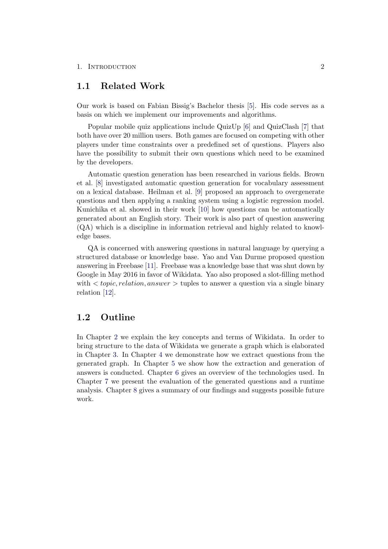#### 1. INTRODUCTION 2

### <span id="page-6-0"></span>1.1 Related Work

Our work is based on Fabian Bissig's Bachelor thesis [\[5\]](#page-29-5). His code serves as a basis on which we implement our improvements and algorithms.

Popular mobile quiz applications include QuizUp [\[6\]](#page-29-6) and QuizClash [\[7\]](#page-29-7) that both have over 20 million users. Both games are focused on competing with other players under time constraints over a predefined set of questions. Players also have the possibility to submit their own questions which need to be examined by the developers.

Automatic question generation has been researched in various fields. Brown et al. [\[8\]](#page-29-8) investigated automatic question generation for vocabulary assessment on a lexical database. Heilman et al. [\[9\]](#page-29-9) proposed an approach to overgenerate questions and then applying a ranking system using a logistic regression model. Kunichika et al. showed in their work [\[10\]](#page-29-10) how questions can be automatically generated about an English story. Their work is also part of question answering (QA) which is a discipline in information retrieval and highly related to knowledge bases.

QA is concerned with answering questions in natural language by querying a structured database or knowledge base. Yao and Van Durme proposed question answering in Freebase [\[11\]](#page-29-11). Freebase was a knowledge base that was shut down by Google in May 2016 in favor of Wikidata. Yao also proposed a slot-filling method with  $\langle topic, relation, answer \rangle$  tuples to answer a question via a single binary relation [\[12\]](#page-29-12).

### <span id="page-6-1"></span>1.2 Outline

In Chapter [2](#page-7-0) we explain the key concepts and terms of Wikidata. In order to bring structure to the data of Wikidata we generate a graph which is elaborated in Chapter [3.](#page-9-0) In Chapter [4](#page-16-0) we demonstrate how we extract questions from the generated graph. In Chapter [5](#page-19-0) we show how the extraction and generation of answers is conducted. Chapter [6](#page-21-0) gives an overview of the technologies used. In Chapter [7](#page-23-0) we present the evaluation of the generated questions and a runtime analysis. Chapter [8](#page-28-0) gives a summary of our findings and suggests possible future work.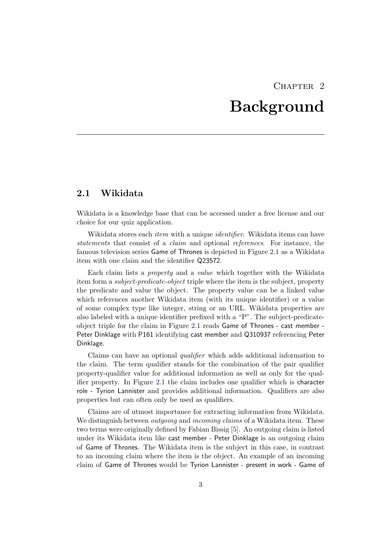## CHAPTER<sub>2</sub> Background

## <span id="page-7-1"></span><span id="page-7-0"></span>2.1 Wikidata

Wikidata is a knowledge base that can be accessed under a free license and our choice for our quiz application.

Wikidata stores each *item* with a unique *identifier*. Wikidata items can have statements that consist of a claim and optional references. For instance, the famous television series Game of Thrones is depicted in Figure [2.1](#page-8-0) as a Wikidata item with one claim and the identifier Q23572.

Each claim lists a property and a value which together with the Wikidata item form a subject-predicate-object triple where the item is the subject, property the predicate and value the object. The property value can be a linked value which references another Wikidata item (with its unique identifier) or a value of some complex type like integer, string or an URL. Wikidata properties are also labeled with a unique identifier prefixed with a "P". The subject-predicateobject triple for the claim in Figure [2.1](#page-8-0) reads Game of Thrones - cast member - Peter Dinklage with P161 identifying cast member and Q310937 referencing Peter Dinklage.

Claims can have an optional qualifier which adds additional information to the claim. The term qualifier stands for the combination of the pair qualifier property-qualifier value for additional information as well as only for the qualifier property. In Figure [2.1](#page-8-0) the claim includes one qualifier which is character role - Tyrion Lannister and provides additional information. Qualifiers are also properties but can often only be used as qualifiers.

Claims are of utmost importance for extracting information from Wikidata. We distinguish between *outgoing* and *incoming claims* of a Wikidata item. These two terms were originally defined by Fabian Bissig [\[5\]](#page-29-5). An outgoing claim is listed under its Wikidata item like cast member - Peter Dinklage is an outgoing claim of Game of Thrones. The Wikidata item is the subject in this case, in contrast to an incoming claim where the item is the object. An example of an incoming claim of Game of Thrones would be Tyrion Lannister - present in work - Game of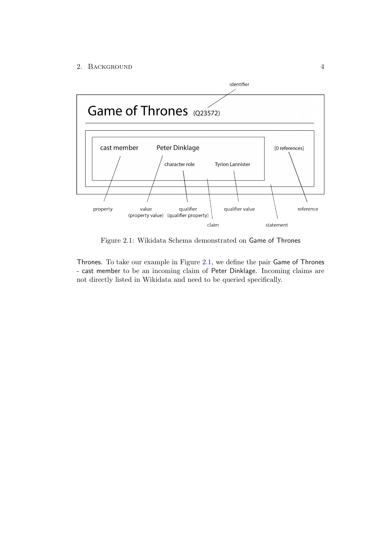#### 2. BACKGROUND 4



<span id="page-8-0"></span>Figure 2.1: Wikidata Schema demonstrated on Game of Thrones

Thrones. To take our example in Figure [2.1,](#page-8-0) we define the pair Game of Thrones - cast member to be an incoming claim of Peter Dinklage. Incoming claims are not directly listed in Wikidata and need to be queried specifically.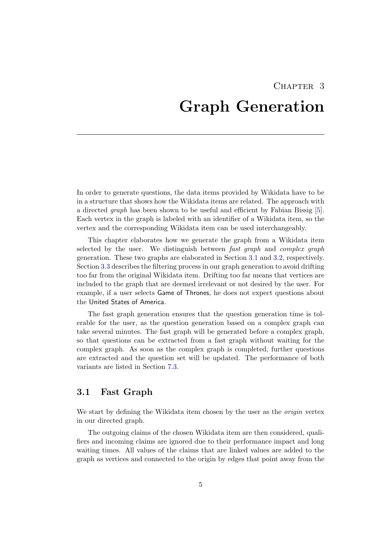# <span id="page-9-0"></span>CHAPTER<sub>3</sub> Graph Generation

In order to generate questions, the data items provided by Wikidata have to be in a structure that shows how the Wikidata items are related. The approach with a directed graph has been shown to be useful and efficient by Fabian Bissig [\[5\]](#page-29-5). Each vertex in the graph is labeled with an identifier of a Wikidata item, so the vertex and the corresponding Wikidata item can be used interchangeably.

This chapter elaborates how we generate the graph from a Wikidata item selected by the user. We distinguish between fast graph and complex graph generation. These two graphs are elaborated in Section [3.1](#page-9-1) and [3.2,](#page-10-0) respectively. Section [3.3](#page-12-3) describes the filtering process in our graph generation to avoid drifting too far from the original Wikidata item. Drifting too far means that vertices are included to the graph that are deemed irrelevant or not desired by the user. For example, if a user selects Game of Thrones, he does not expect questions about the United States of America.

The fast graph generation ensures that the question generation time is tolerable for the user, as the question generation based on a complex graph can take several minutes. The fast graph will be generated before a complex graph, so that questions can be extracted from a fast graph without waiting for the complex graph. As soon as the complex graph is completed, further questions are extracted and the question set will be updated. The performance of both variants are listed in Section [7.3.](#page-26-1)

## <span id="page-9-1"></span>3.1 Fast Graph

We start by defining the Wikidata item chosen by the user as the *origin* vertex in our directed graph.

The outgoing claims of the chosen Wikidata item are then considered, qualifiers and incoming claims are ignored due to their performance impact and long waiting times. All values of the claims that are linked values are added to the graph as vertices and connected to the origin by edges that point away from the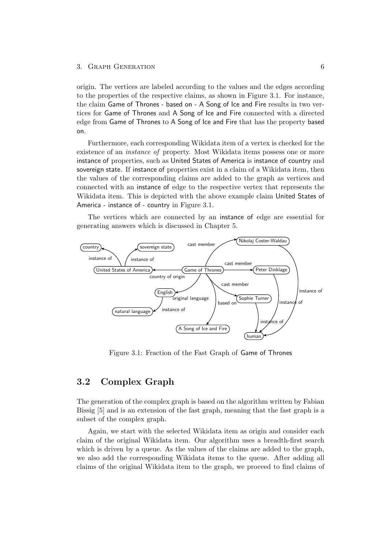origin. The vertices are labeled according to the values and the edges according to the properties of the respective claims, as shown in Figure [3.1.](#page-10-1) For instance, the claim Game of Thrones - based on - A Song of Ice and Fire results in two vertices for Game of Thrones and A Song of Ice and Fire connected with a directed edge from Game of Thrones to A Song of Ice and Fire that has the property based on.

Furthermore, each corresponding Wikidata item of a vertex is checked for the existence of an *instance of* property. Most Wikidata items possess one or more instance of properties, such as United States of America is instance of country and sovereign state. If instance of properties exist in a claim of a Wikidata item, then the values of the corresponding claims are added to the graph as vertices and connected with an instance of edge to the respective vertex that represents the Wikidata item. This is depicted with the above example claim United States of America - instance of - country in Figure [3.1.](#page-10-1)

The vertices which are connected by an instance of edge are essential for generating answers which is discussed in Chapter [5.](#page-19-0)



<span id="page-10-1"></span>Figure 3.1: Fraction of the Fast Graph of Game of Thrones

## <span id="page-10-0"></span>3.2 Complex Graph

The generation of the complex graph is based on the algorithm written by Fabian Bissig [\[5\]](#page-29-5) and is an extension of the fast graph, meaning that the fast graph is a subset of the complex graph.

Again, we start with the selected Wikidata item as origin and consider each claim of the original Wikidata item. Our algorithm uses a breadth-first search which is driven by a queue. As the values of the claims are added to the graph, we also add the corresponding Wikidata items to the queue. After adding all claims of the original Wikidata item to the graph, we proceed to find claims of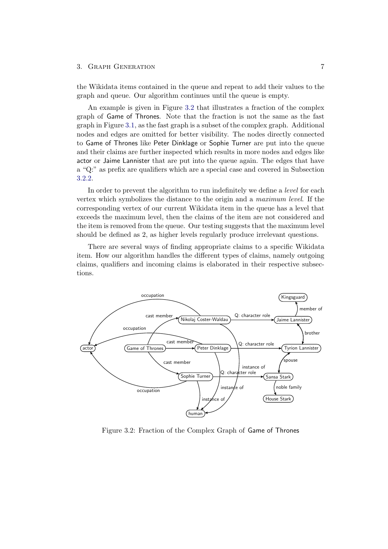the Wikidata items contained in the queue and repeat to add their values to the graph and queue. Our algorithm continues until the queue is empty.

An example is given in Figure [3.2](#page-11-0) that illustrates a fraction of the complex graph of Game of Thrones. Note that the fraction is not the same as the fast graph in Figure [3.1,](#page-10-1) as the fast graph is a subset of the complex graph. Additional nodes and edges are omitted for better visibility. The nodes directly connected to Game of Thrones like Peter Dinklage or Sophie Turner are put into the queue and their claims are further inspected which results in more nodes and edges like actor or Jaime Lannister that are put into the queue again. The edges that have a "Q:" as prefix are qualifiers which are a special case and covered in Subsection [3.2.2.](#page-12-1)

In order to prevent the algorithm to run indefinitely we define a *level* for each vertex which symbolizes the distance to the origin and a maximum level. If the corresponding vertex of our current Wikidata item in the queue has a level that exceeds the maximum level, then the claims of the item are not considered and the item is removed from the queue. Our testing suggests that the maximum level should be defined as 2, as higher levels regularly produce irrelevant questions.

There are several ways of finding appropriate claims to a specific Wikidata item. How our algorithm handles the different types of claims, namely outgoing claims, qualifiers and incoming claims is elaborated in their respective subsections.



<span id="page-11-0"></span>Figure 3.2: Fraction of the Complex Graph of Game of Thrones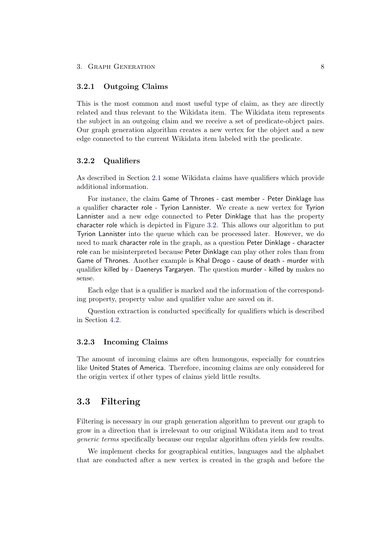#### <span id="page-12-0"></span>3.2.1 Outgoing Claims

This is the most common and most useful type of claim, as they are directly related and thus relevant to the Wikidata item. The Wikidata item represents the subject in an outgoing claim and we receive a set of predicate-object pairs. Our graph generation algorithm creates a new vertex for the object and a new edge connected to the current Wikidata item labeled with the predicate.

#### <span id="page-12-1"></span>3.2.2 Qualifiers

As described in Section [2.1](#page-7-1) some Wikidata claims have qualifiers which provide additional information.

For instance, the claim Game of Thrones - cast member - Peter Dinklage has a qualifier character role - Tyrion Lannister. We create a new vertex for Tyrion Lannister and a new edge connected to Peter Dinklage that has the property character role which is depicted in Figure [3.2.](#page-11-0) This allows our algorithm to put Tyrion Lannister into the queue which can be processed later. However, we do need to mark character role in the graph, as a question Peter Dinklage - character role can be misinterpreted because Peter Dinklage can play other roles than from Game of Thrones. Another example is Khal Drogo - cause of death - murder with qualifier killed by - Daenerys Targaryen. The question murder - killed by makes no sense.

Each edge that is a qualifier is marked and the information of the corresponding property, property value and qualifier value are saved on it.

Question extraction is conducted specifically for qualifiers which is described in Section [4.2.](#page-18-0)

#### <span id="page-12-2"></span>3.2.3 Incoming Claims

The amount of incoming claims are often humongous, especially for countries like United States of America. Therefore, incoming claims are only considered for the origin vertex if other types of claims yield little results.

## <span id="page-12-3"></span>3.3 Filtering

Filtering is necessary in our graph generation algorithm to prevent our graph to grow in a direction that is irrelevant to our original Wikidata item and to treat generic terms specifically because our regular algorithm often yields few results.

We implement checks for geographical entities, languages and the alphabet that are conducted after a new vertex is created in the graph and before the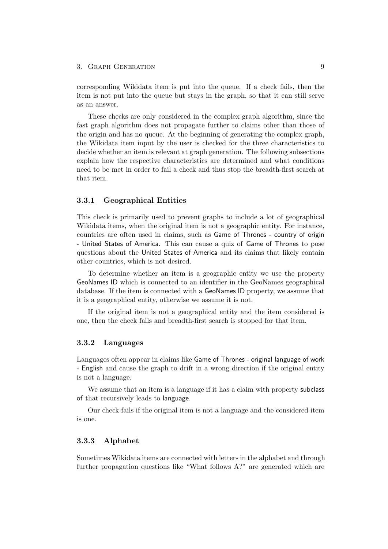corresponding Wikidata item is put into the queue. If a check fails, then the item is not put into the queue but stays in the graph, so that it can still serve as an answer.

These checks are only considered in the complex graph algorithm, since the fast graph algorithm does not propagate further to claims other than those of the origin and has no queue. At the beginning of generating the complex graph, the Wikidata item input by the user is checked for the three characteristics to decide whether an item is relevant at graph generation. The following subsections explain how the respective characteristics are determined and what conditions need to be met in order to fail a check and thus stop the breadth-first search at that item.

#### <span id="page-13-0"></span>3.3.1 Geographical Entities

This check is primarily used to prevent graphs to include a lot of geographical Wikidata items, when the original item is not a geographic entity. For instance, countries are often used in claims, such as Game of Thrones - country of origin - United States of America. This can cause a quiz of Game of Thrones to pose questions about the United States of America and its claims that likely contain other countries, which is not desired.

To determine whether an item is a geographic entity we use the property GeoNames ID which is connected to an identifier in the GeoNames geographical database. If the item is connected with a GeoNames ID property, we assume that it is a geographical entity, otherwise we assume it is not.

If the original item is not a geographical entity and the item considered is one, then the check fails and breadth-first search is stopped for that item.

#### <span id="page-13-1"></span>3.3.2 Languages

Languages often appear in claims like Game of Thrones - original language of work - English and cause the graph to drift in a wrong direction if the original entity is not a language.

We assume that an item is a language if it has a claim with property subclass of that recursively leads to language.

Our check fails if the original item is not a language and the considered item is one.

#### <span id="page-13-2"></span>3.3.3 Alphabet

Sometimes Wikidata items are connected with letters in the alphabet and through further propagation questions like "What follows A?" are generated which are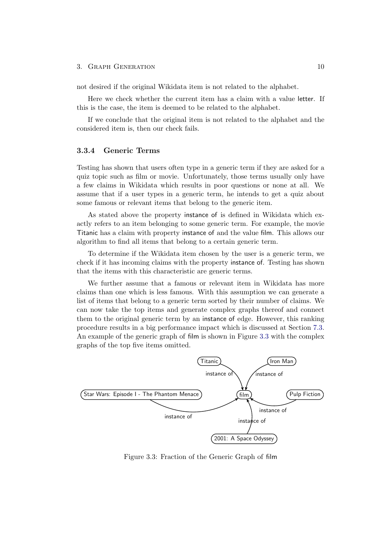not desired if the original Wikidata item is not related to the alphabet.

Here we check whether the current item has a claim with a value letter. If this is the case, the item is deemed to be related to the alphabet.

If we conclude that the original item is not related to the alphabet and the considered item is, then our check fails.

#### <span id="page-14-0"></span>3.3.4 Generic Terms

Testing has shown that users often type in a generic term if they are asked for a quiz topic such as film or movie. Unfortunately, those terms usually only have a few claims in Wikidata which results in poor questions or none at all. We assume that if a user types in a generic term, he intends to get a quiz about some famous or relevant items that belong to the generic item.

As stated above the property instance of is defined in Wikidata which exactly refers to an item belonging to some generic term. For example, the movie Titanic has a claim with property instance of and the value film. This allows our algorithm to find all items that belong to a certain generic term.

To determine if the Wikidata item chosen by the user is a generic term, we check if it has incoming claims with the property instance of. Testing has shown that the items with this characteristic are generic terms.

We further assume that a famous or relevant item in Wikidata has more claims than one which is less famous. With this assumption we can generate a list of items that belong to a generic term sorted by their number of claims. We can now take the top items and generate complex graphs thereof and connect them to the original generic term by an instance of edge. However, this ranking procedure results in a big performance impact which is discussed at Section [7.3.](#page-26-1) An example of the generic graph of film is shown in Figure [3.3](#page-14-1) with the complex graphs of the top five items omitted.



<span id="page-14-1"></span>Figure 3.3: Fraction of the Generic Graph of film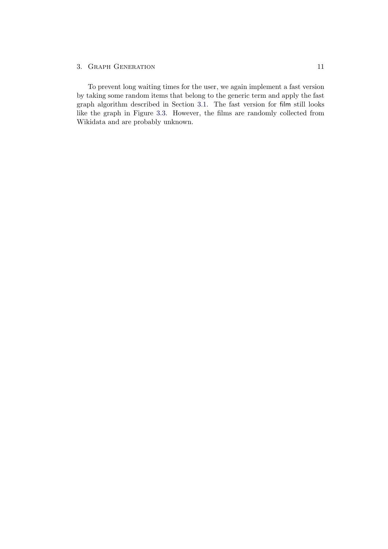To prevent long waiting times for the user, we again implement a fast version by taking some random items that belong to the generic term and apply the fast graph algorithm described in Section [3.1.](#page-9-1) The fast version for film still looks like the graph in Figure [3.3.](#page-14-1) However, the films are randomly collected from Wikidata and are probably unknown.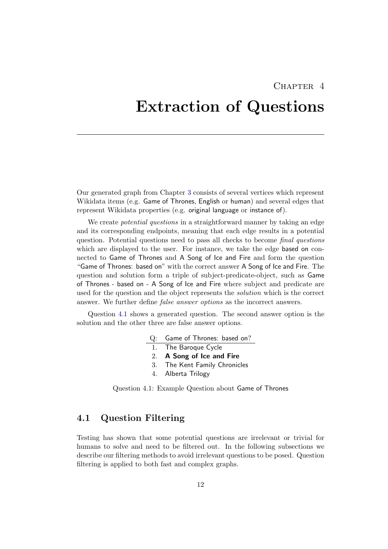## CHAPTER<sub>4</sub>

## <span id="page-16-0"></span>Extraction of Questions

Our generated graph from Chapter [3](#page-9-0) consists of several vertices which represent Wikidata items (e.g. Game of Thrones, English or human) and several edges that represent Wikidata properties (e.g. original language or instance of).

We create *potential questions* in a straightforward manner by taking an edge and its corresponding endpoints, meaning that each edge results in a potential question. Potential questions need to pass all checks to become final questions which are displayed to the user. For instance, we take the edge based on connected to Game of Thrones and A Song of Ice and Fire and form the question "Game of Thrones: based on" with the correct answer A Song of Ice and Fire. The question and solution form a triple of subject-predicate-object, such as Game of Thrones - based on - A Song of Ice and Fire where subject and predicate are used for the question and the object represents the solution which is the correct answer. We further define false answer options as the incorrect answers.

Question [4.1](#page-16-2) shows a generated question. The second answer option is the solution and the other three are false answer options.

- Q: Game of Thrones: based on? 1. The Baroque Cycle 2. A Song of Ice and Fire 3. The Kent Family Chronicles
	- 4. Alberta Trilogy

<span id="page-16-2"></span>Question 4.1: Example Question about Game of Thrones

## <span id="page-16-1"></span>4.1 Question Filtering

Testing has shown that some potential questions are irrelevant or trivial for humans to solve and need to be filtered out. In the following subsections we describe our filtering methods to avoid irrelevant questions to be posed. Question filtering is applied to both fast and complex graphs.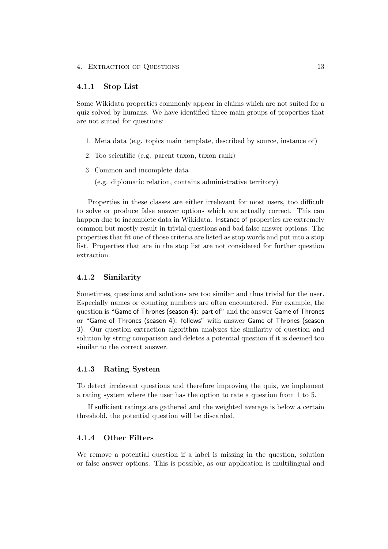#### 4. Extraction of Questions 13

#### <span id="page-17-0"></span>4.1.1 Stop List

Some Wikidata properties commonly appear in claims which are not suited for a quiz solved by humans. We have identified three main groups of properties that are not suited for questions:

- 1. Meta data (e.g. topics main template, described by source, instance of)
- 2. Too scientific (e.g. parent taxon, taxon rank)
- 3. Common and incomplete data
	- (e.g. diplomatic relation, contains administrative territory)

Properties in these classes are either irrelevant for most users, too difficult to solve or produce false answer options which are actually correct. This can happen due to incomplete data in Wikidata. Instance of properties are extremely common but mostly result in trivial questions and bad false answer options. The properties that fit one of those criteria are listed as stop words and put into a stop list. Properties that are in the stop list are not considered for further question extraction.

#### <span id="page-17-1"></span>4.1.2 Similarity

Sometimes, questions and solutions are too similar and thus trivial for the user. Especially names or counting numbers are often encountered. For example, the question is "Game of Thrones (season 4): part of" and the answer Game of Thrones or "Game of Thrones (season 4): follows" with answer Game of Thrones (season 3). Our question extraction algorithm analyzes the similarity of question and solution by string comparison and deletes a potential question if it is deemed too similar to the correct answer.

#### <span id="page-17-2"></span>4.1.3 Rating System

To detect irrelevant questions and therefore improving the quiz, we implement a rating system where the user has the option to rate a question from 1 to 5.

If sufficient ratings are gathered and the weighted average is below a certain threshold, the potential question will be discarded.

#### <span id="page-17-3"></span>4.1.4 Other Filters

We remove a potential question if a label is missing in the question, solution or false answer options. This is possible, as our application is multilingual and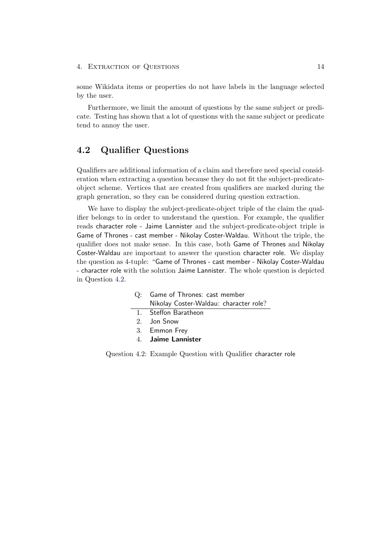4. EXTRACTION OF QUESTIONS 14

some Wikidata items or properties do not have labels in the language selected by the user.

Furthermore, we limit the amount of questions by the same subject or predicate. Testing has shown that a lot of questions with the same subject or predicate tend to annoy the user.

## <span id="page-18-0"></span>4.2 Qualifier Questions

Qualifiers are additional information of a claim and therefore need special consideration when extracting a question because they do not fit the subject-predicateobject scheme. Vertices that are created from qualifiers are marked during the graph generation, so they can be considered during question extraction.

We have to display the subject-predicate-object triple of the claim the qualifier belongs to in order to understand the question. For example, the qualifier reads character role - Jaime Lannister and the subject-predicate-object triple is Game of Thrones - cast member - Nikolay Coster-Waldau. Without the triple, the qualifier does not make sense. In this case, both Game of Thrones and Nikolay Coster-Waldau are important to answer the question character role. We display the question as 4-tuple: "Game of Thrones - cast member - Nikolay Coster-Waldau - character role with the solution Jaime Lannister. The whole question is depicted in Question [4.2.](#page-18-1)

- Q: Game of Thrones: cast member Nikolay Coster-Waldau: character role?
- 1. Steffon Baratheon
- 2. Jon Snow
- 3. Emmon Frey
- <span id="page-18-1"></span>4. Jaime Lannister

Question 4.2: Example Question with Qualifier character role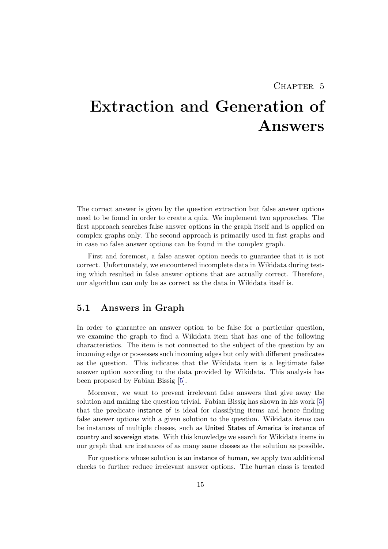## CHAPTER<sub>5</sub>

# <span id="page-19-0"></span>Extraction and Generation of Answers

The correct answer is given by the question extraction but false answer options need to be found in order to create a quiz. We implement two approaches. The first approach searches false answer options in the graph itself and is applied on complex graphs only. The second approach is primarily used in fast graphs and in case no false answer options can be found in the complex graph.

First and foremost, a false answer option needs to guarantee that it is not correct. Unfortunately, we encountered incomplete data in Wikidata during testing which resulted in false answer options that are actually correct. Therefore, our algorithm can only be as correct as the data in Wikidata itself is.

## <span id="page-19-1"></span>5.1 Answers in Graph

In order to guarantee an answer option to be false for a particular question, we examine the graph to find a Wikidata item that has one of the following characteristics. The item is not connected to the subject of the question by an incoming edge or possesses such incoming edges but only with different predicates as the question. This indicates that the Wikidata item is a legitimate false answer option according to the data provided by Wikidata. This analysis has been proposed by Fabian Bissig [\[5\]](#page-29-5).

Moreover, we want to prevent irrelevant false answers that give away the solution and making the question trivial. Fabian Bissig has shown in his work [\[5\]](#page-29-5) that the predicate instance of is ideal for classifying items and hence finding false answer options with a given solution to the question. Wikidata items can be instances of multiple classes, such as United States of America is instance of country and sovereign state. With this knowledge we search for Wikidata items in our graph that are instances of as many same classes as the solution as possible.

For questions whose solution is an instance of human, we apply two additional checks to further reduce irrelevant answer options. The human class is treated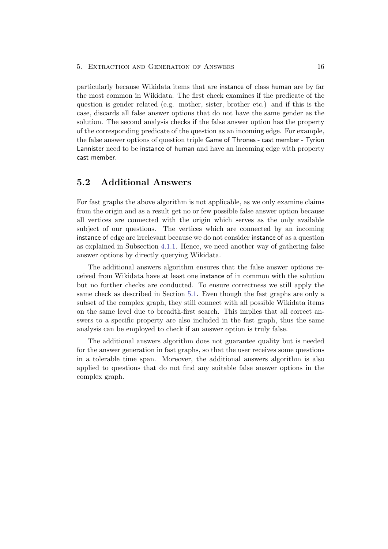particularly because Wikidata items that are instance of class human are by far the most common in Wikidata. The first check examines if the predicate of the question is gender related (e.g. mother, sister, brother etc.) and if this is the case, discards all false answer options that do not have the same gender as the solution. The second analysis checks if the false answer option has the property of the corresponding predicate of the question as an incoming edge. For example, the false answer options of question triple Game of Thrones - cast member - Tyrion Lannister need to be instance of human and have an incoming edge with property cast member.

## <span id="page-20-0"></span>5.2 Additional Answers

For fast graphs the above algorithm is not applicable, as we only examine claims from the origin and as a result get no or few possible false answer option because all vertices are connected with the origin which serves as the only available subject of our questions. The vertices which are connected by an incoming instance of edge are irrelevant because we do not consider instance of as a question as explained in Subsection [4.1.1.](#page-17-0) Hence, we need another way of gathering false answer options by directly querying Wikidata.

The additional answers algorithm ensures that the false answer options received from Wikidata have at least one instance of in common with the solution but no further checks are conducted. To ensure correctness we still apply the same check as described in Section [5.1.](#page-19-1) Even though the fast graphs are only a subset of the complex graph, they still connect with all possible Wikidata items on the same level due to breadth-first search. This implies that all correct answers to a specific property are also included in the fast graph, thus the same analysis can be employed to check if an answer option is truly false.

The additional answers algorithm does not guarantee quality but is needed for the answer generation in fast graphs, so that the user receives some questions in a tolerable time span. Moreover, the additional answers algorithm is also applied to questions that do not find any suitable false answer options in the complex graph.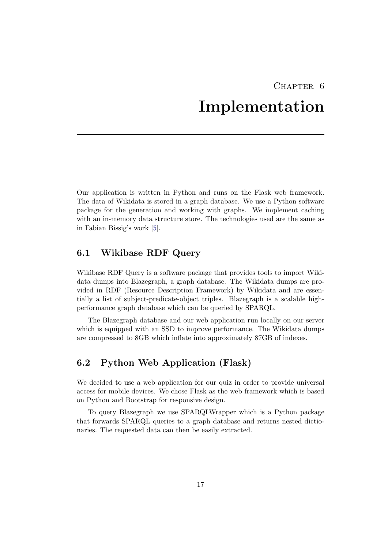## CHAPTER<sub>6</sub> Implementation

<span id="page-21-0"></span>Our application is written in Python and runs on the Flask web framework. The data of Wikidata is stored in a graph database. We use a Python software package for the generation and working with graphs. We implement caching with an in-memory data structure store. The technologies used are the same as in Fabian Bissig's work [\[5\]](#page-29-5).

## <span id="page-21-1"></span>6.1 Wikibase RDF Query

Wikibase RDF Query is a software package that provides tools to import Wikidata dumps into Blazegraph, a graph database. The Wikidata dumps are provided in RDF (Resource Description Framework) by Wikidata and are essentially a list of subject-predicate-object triples. Blazegraph is a scalable highperformance graph database which can be queried by SPARQL.

The Blazegraph database and our web application run locally on our server which is equipped with an SSD to improve performance. The Wikidata dumps are compressed to 8GB which inflate into approximately 87GB of indexes.

## <span id="page-21-2"></span>6.2 Python Web Application (Flask)

We decided to use a web application for our quiz in order to provide universal access for mobile devices. We chose Flask as the web framework which is based on Python and Bootstrap for responsive design.

To query Blazegraph we use SPARQLWrapper which is a Python package that forwards SPARQL queries to a graph database and returns nested dictionaries. The requested data can then be easily extracted.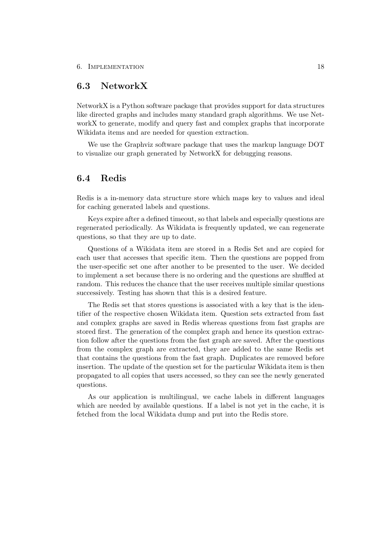## <span id="page-22-0"></span>6.3 NetworkX

NetworkX is a Python software package that provides support for data structures like directed graphs and includes many standard graph algorithms. We use NetworkX to generate, modify and query fast and complex graphs that incorporate Wikidata items and are needed for question extraction.

We use the Graphviz software package that uses the markup language DOT to visualize our graph generated by NetworkX for debugging reasons.

### <span id="page-22-1"></span>6.4 Redis

Redis is a in-memory data structure store which maps key to values and ideal for caching generated labels and questions.

Keys expire after a defined timeout, so that labels and especially questions are regenerated periodically. As Wikidata is frequently updated, we can regenerate questions, so that they are up to date.

Questions of a Wikidata item are stored in a Redis Set and are copied for each user that accesses that specific item. Then the questions are popped from the user-specific set one after another to be presented to the user. We decided to implement a set because there is no ordering and the questions are shuffled at random. This reduces the chance that the user receives multiple similar questions successively. Testing has shown that this is a desired feature.

The Redis set that stores questions is associated with a key that is the identifier of the respective chosen Wikidata item. Question sets extracted from fast and complex graphs are saved in Redis whereas questions from fast graphs are stored first. The generation of the complex graph and hence its question extraction follow after the questions from the fast graph are saved. After the questions from the complex graph are extracted, they are added to the same Redis set that contains the questions from the fast graph. Duplicates are removed before insertion. The update of the question set for the particular Wikidata item is then propagated to all copies that users accessed, so they can see the newly generated questions.

As our application is multilingual, we cache labels in different languages which are needed by available questions. If a label is not yet in the cache, it is fetched from the local Wikidata dump and put into the Redis store.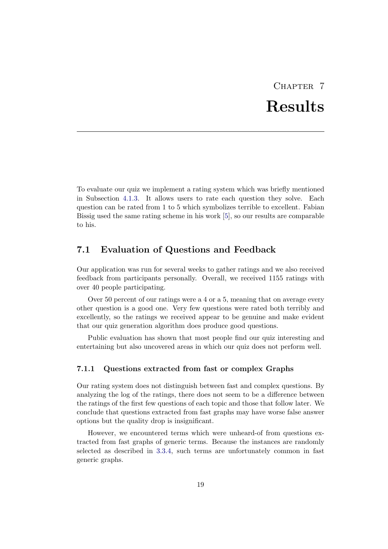# CHAPTER 7 Results

<span id="page-23-0"></span>To evaluate our quiz we implement a rating system which was briefly mentioned in Subsection [4.1.3.](#page-17-2) It allows users to rate each question they solve. Each question can be rated from 1 to 5 which symbolizes terrible to excellent. Fabian Bissig used the same rating scheme in his work [\[5\]](#page-29-5), so our results are comparable to his.

## <span id="page-23-1"></span>7.1 Evaluation of Questions and Feedback

Our application was run for several weeks to gather ratings and we also received feedback from participants personally. Overall, we received 1155 ratings with over 40 people participating.

Over 50 percent of our ratings were a 4 or a 5, meaning that on average every other question is a good one. Very few questions were rated both terribly and excellently, so the ratings we received appear to be genuine and make evident that our quiz generation algorithm does produce good questions.

Public evaluation has shown that most people find our quiz interesting and entertaining but also uncovered areas in which our quiz does not perform well.

#### <span id="page-23-2"></span>7.1.1 Questions extracted from fast or complex Graphs

Our rating system does not distinguish between fast and complex questions. By analyzing the log of the ratings, there does not seem to be a difference between the ratings of the first few questions of each topic and those that follow later. We conclude that questions extracted from fast graphs may have worse false answer options but the quality drop is insignificant.

However, we encountered terms which were unheard-of from questions extracted from fast graphs of generic terms. Because the instances are randomly selected as described in [3.3.4,](#page-14-0) such terms are unfortunately common in fast generic graphs.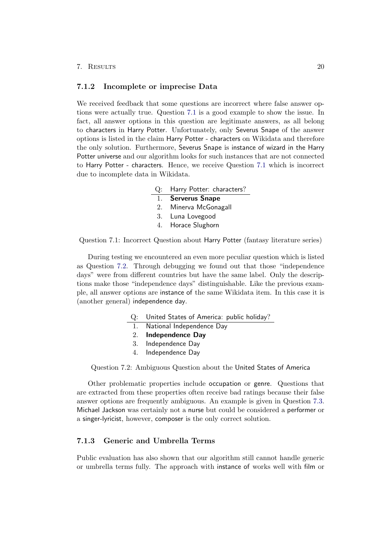#### 7. Results 20

#### <span id="page-24-0"></span>7.1.2 Incomplete or imprecise Data

We received feedback that some questions are incorrect where false answer options were actually true. Question [7.1](#page-24-2) is a good example to show the issue. In fact, all answer options in this question are legitimate answers, as all belong to characters in Harry Potter. Unfortunately, only Severus Snape of the answer options is listed in the claim Harry Potter - characters on Wikidata and therefore the only solution. Furthermore, Severus Snape is instance of wizard in the Harry Potter universe and our algorithm looks for such instances that are not connected to Harry Potter - characters. Hence, we receive Question [7.1](#page-24-2) which is incorrect due to incomplete data in Wikidata.

|             | Q: Harry Potter: characters? |  |  |  |  |
|-------------|------------------------------|--|--|--|--|
|             | 1. Serverus Snape            |  |  |  |  |
| $2^{\circ}$ | Minerva McGonagall           |  |  |  |  |
|             | 3. Luna Lovegood             |  |  |  |  |
| 4.          | Horace Slughorn              |  |  |  |  |

<span id="page-24-2"></span>Question 7.1: Incorrect Question about Harry Potter (fantasy literature series)

During testing we encountered an even more peculiar question which is listed as Question [7.2.](#page-24-3) Through debugging we found out that those "independence days" were from different countries but have the same label. Only the descriptions make those "independence days" distinguishable. Like the previous example, all answer options are instance of the same Wikidata item. In this case it is (another general) independence day.

- Q: United States of America: public holiday?
- National Independence Day
- 2. Independence Day
- 3. Independence Day
- <span id="page-24-3"></span>4. Independence Day

Question 7.2: Ambiguous Question about the United States of America

Other problematic properties include occupation or genre. Questions that are extracted from these properties often receive bad ratings because their false answer options are frequently ambiguous. An example is given in Question [7.3.](#page-25-1) Michael Jackson was certainly not a nurse but could be considered a performer or a singer-lyricist, however, composer is the only correct solution.

#### <span id="page-24-1"></span>7.1.3 Generic and Umbrella Terms

Public evaluation has also shown that our algorithm still cannot handle generic or umbrella terms fully. The approach with instance of works well with film or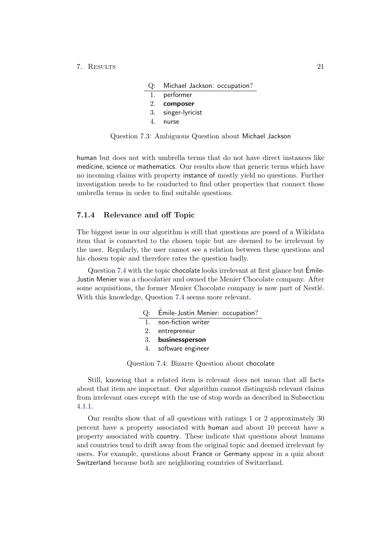| Q: Michael Jackson: occupation? |  |
|---------------------------------|--|
|---------------------------------|--|

- 1. performer
- 2. composer
- 3. singer-lyricist
- <span id="page-25-1"></span>4. nurse

Question 7.3: Ambiguous Question about Michael Jackson

human but does not with umbrella terms that do not have direct instances like medicine, science or mathematics. Our results show that generic terms which have no incoming claims with property instance of mostly yield no questions. Further investigation needs to be conducted to find other properties that connect those umbrella terms in order to find suitable questions.

#### <span id="page-25-0"></span>7.1.4 Relevance and off Topic

The biggest issue in our algorithm is still that questions are posed of a Wikidata item that is connected to the chosen topic but are deemed to be irrelevant by the user. Regularly, the user cannot see a relation between these questions and his chosen topic and therefore rates the question badly.

Question [7.4](#page-25-2) with the topic chocolate looks irrelevant at first glance but Emile- ´ Justin Menier was a chocolatier and owned the Menier Chocolate company. After some acquisitions, the former Menier Chocolate company is now part of Nestlé. With this knowledge, Question [7.4](#page-25-2) seems more relevant.

| Q: Emile-Justin Menier: occupation? |  |
|-------------------------------------|--|
|                                     |  |
|                                     |  |

- 1. non-fiction writer
- 2. entrepreneur
- 3. businessperson
- <span id="page-25-2"></span>4. software engineer

Question 7.4: Bizarre Question about chocolate

Still, knowing that a related item is relevant does not mean that all facts about that item are important. Our algorithm cannot distinguish relevant claims from irrelevant ones except with the use of stop words as described in Subsection [4.1.1.](#page-17-0)

Our results show that of all questions with ratings 1 or 2 approximately 30 percent have a property associated with human and about 10 percent have a property associated with country. These indicate that questions about humans and countries tend to drift away from the original topic and deemed irrelevant by users. For example, questions about France or Germany appear in a quiz about Switzerland because both are neighboring countries of Switzerland.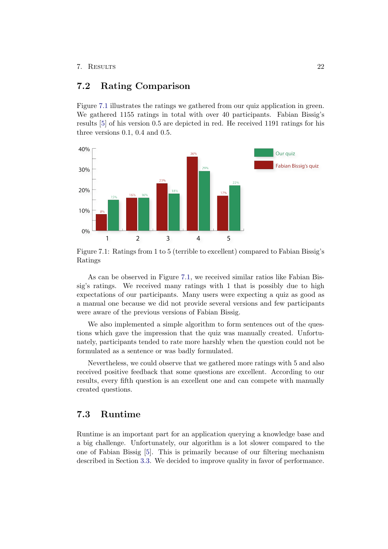#### 7. Results 22

## <span id="page-26-0"></span>7.2 Rating Comparison

Figure [7.1](#page-26-2) illustrates the ratings we gathered from our quiz application in green. We gathered 1155 ratings in total with over 40 participants. Fabian Bissig's results [\[5\]](#page-29-5) of his version 0.5 are depicted in red. He received 1191 ratings for his three versions 0.1, 0.4 and 0.5.



<span id="page-26-2"></span>Figure 7.1: Ratings from 1 to 5 (terrible to excellent) compared to Fabian Bissig's Ratings

As can be observed in Figure [7.1,](#page-26-2) we received similar ratios like Fabian Bissig's ratings. We received many ratings with 1 that is possibly due to high expectations of our participants. Many users were expecting a quiz as good as a manual one because we did not provide several versions and few participants were aware of the previous versions of Fabian Bissig.

We also implemented a simple algorithm to form sentences out of the questions which gave the impression that the quiz was manually created. Unfortunately, participants tended to rate more harshly when the question could not be formulated as a sentence or was badly formulated.

Nevertheless, we could observe that we gathered more ratings with 5 and also received positive feedback that some questions are excellent. According to our results, every fifth question is an excellent one and can compete with manually created questions.

## <span id="page-26-1"></span>7.3 Runtime

Runtime is an important part for an application querying a knowledge base and a big challenge. Unfortunately, our algorithm is a lot slower compared to the one of Fabian Bissig [\[5\]](#page-29-5). This is primarily because of our filtering mechanism described in Section [3.3.](#page-12-3) We decided to improve quality in favor of performance.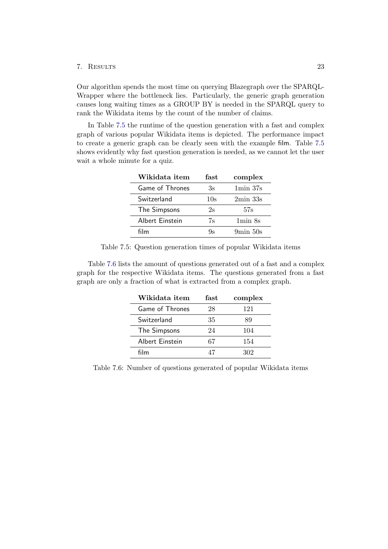#### 7. Results 23

Our algorithm spends the most time on querying Blazegraph over the SPARQL-Wrapper where the bottleneck lies. Particularly, the generic graph generation causes long waiting times as a GROUP BY is needed in the SPARQL query to rank the Wikidata items by the count of the number of claims.

In Table [7.5](#page-27-0) the runtime of the question generation with a fast and complex graph of various popular Wikidata items is depicted. The performance impact to create a generic graph can be clearly seen with the example film. Table [7.5](#page-27-0) shows evidently why fast question generation is needed, as we cannot let the user wait a whole minute for a quiz.

| Wikidata item   | fast | complex                         |
|-----------------|------|---------------------------------|
| Game of Thrones | Зs   | 1min.37s                        |
| Switzerland     | 10s  | $2min$ 33s                      |
| The Simpsons    | 2s   | 57s                             |
| Albert Einstein | 7s   | 1 <sub>min</sub> 8 <sub>s</sub> |
| film            | Qς   | $9\text{min}50\text{s}$         |

<span id="page-27-0"></span>Table 7.5: Question generation times of popular Wikidata items

Table [7.6](#page-27-1) lists the amount of questions generated out of a fast and a complex graph for the respective Wikidata items. The questions generated from a fast graph are only a fraction of what is extracted from a complex graph.

| Wikidata item   | fast | complex |
|-----------------|------|---------|
| Game of Thrones | 28   | 121     |
| Switzerland     | 35   | 89      |
| The Simpsons    | 24   | 104     |
| Albert Einstein | 67   | 154     |
| film            |      | 302     |

<span id="page-27-1"></span>Table 7.6: Number of questions generated of popular Wikidata items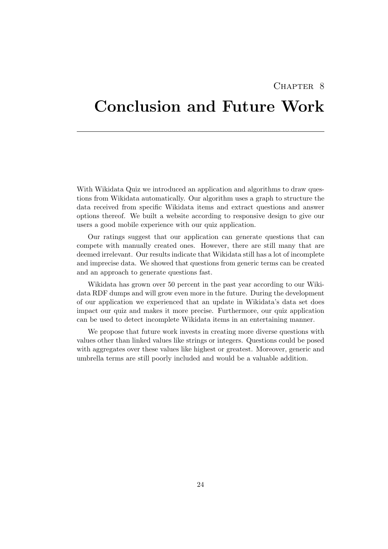## CHAPTER<sub>8</sub>

# <span id="page-28-0"></span>Conclusion and Future Work

With Wikidata Quiz we introduced an application and algorithms to draw questions from Wikidata automatically. Our algorithm uses a graph to structure the data received from specific Wikidata items and extract questions and answer options thereof. We built a website according to responsive design to give our users a good mobile experience with our quiz application.

Our ratings suggest that our application can generate questions that can compete with manually created ones. However, there are still many that are deemed irrelevant. Our results indicate that Wikidata still has a lot of incomplete and imprecise data. We showed that questions from generic terms can be created and an approach to generate questions fast.

Wikidata has grown over 50 percent in the past year according to our Wikidata RDF dumps and will grow even more in the future. During the development of our application we experienced that an update in Wikidata's data set does impact our quiz and makes it more precise. Furthermore, our quiz application can be used to detect incomplete Wikidata items in an entertaining manner.

We propose that future work invests in creating more diverse questions with values other than linked values like strings or integers. Questions could be posed with aggregates over these values like highest or greatest. Moreover, generic and umbrella terms are still poorly included and would be a valuable addition.